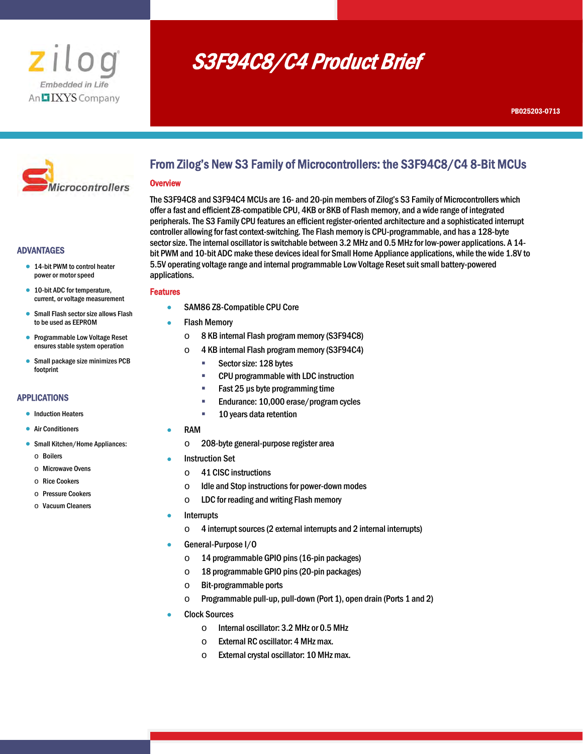

# S3F94C8/C4 Product Brief



#### ADVANTAGES

- 14-bit PWM to control heater power or motor speed
- 10-bit ADC for temperature, current, or voltage measurement
- Small Flash sector size allows Flash to be used as EEPROM
- Programmable Low Voltage Reset ensures stable system operation
- Small package size minimizes PCB footprint

#### APPLICATIONS

- **•** Induction Heaters
- **Air Conditioners**
- Small Kitchen/Home Appliances:
	- o Boilers
	- o Microwave Ovens
	- o Rice Cookers
	- o Pressure Cookers
	- o Vacuum Cleaners

## From Zilog's New S3 Family of Microcontrollers: the S3F94C8/C4 8-Bit MCUs

#### **Overview**

The S3F94C8 and S3F94C4 MCUs are 16- and 20-pin members of Zilog's S3 Family of Microcontrollers which offer a fast and efficient Z8-compatible CPU, 4KB or 8KB of Flash memory, and a wide range of integrated peripherals. The S3 Family CPU features an efficient register-oriented architecture and a sophisticated interrupt controller allowing for fast context-switching. The Flash memory is CPU-programmable, and has a 128-byte sector size. The internal oscillator is switchable between 3.2 MHz and 0.5 MHz for low-power applications. A 14 bit PWM and 10-bit ADC make these devices ideal for Small Home Appliance applications, while the wide 1.8V to 5.5V operating voltage range and internal programmable Low Voltage Reset suit small battery-powered applications.

#### Features

- SAM86 Z8-Compatible CPU Core
- Flash Memory
	- o 8 KB internal Flash program memory (S3F94C8)
	- o 4 KB internal Flash program memory (S3F94C4)
		- Sector size: 128 bytes
		- **EXECPU programmable with LDC instruction**
		- Fast 25 µs byte programming time
		- **Endurance: 10,000 erase/program cycles**
		- **10 years data retention**
- RAM
	- o 208-byte general-purpose register area
- Instruction Set
	- o 41 CISC instructions
	- o Idle and Stop instructions for power-down modes
	- $\circ$  LDC for reading and writing Flash memory
- **Interrupts** 
	- $\circ$  4 interrupt sources (2 external interrupts and 2 internal interrupts)
- General-Purpose I/O
	- o 14 programmable GPIO pins (16-pin packages)
	- o 18 programmable GPIO pins (20-pin packages)
	- o Bit-programmable ports
	- o Programmable pull-up, pull-down (Port 1), open drain (Ports 1 and 2)
- Clock Sources
	- o Internal oscillator: 3.2 MHz or 0.5 MHz
	- $\circ$  External RC oscillator: 4 MHz max.
	- o External crystal oscillator: 10 MHz max.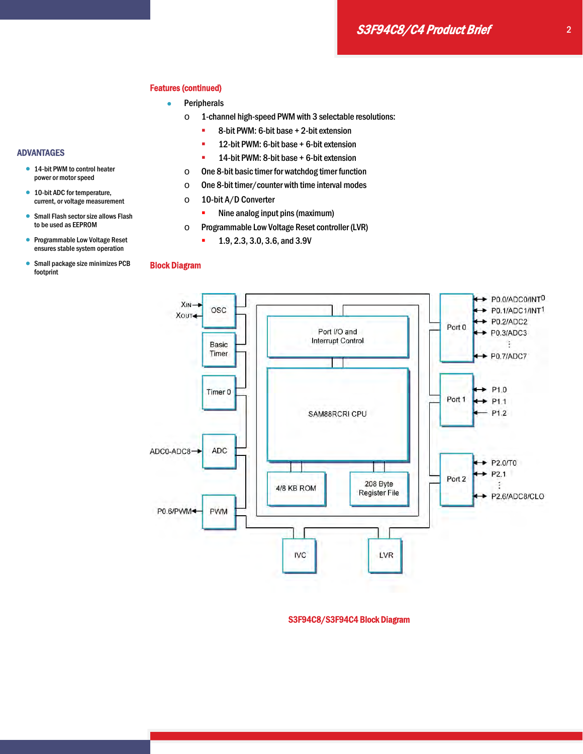#### Features (continued)

- **•** Peripherals
	- o 1-channel high-speed PWM with 3 selectable resolutions:
		- **8-bit PWM: 6-bit base + 2-bit extension**
		- **12-bit PWM: 6-bit base + 6-bit extension**
		- **14-bit PWM: 8-bit base + 6-bit extension**
	- o One 8-bit basic timer for watchdog timer function
	- o One 8-bit timer/counter with time interval modes
	- o 10-bit A/D Converter
		- Nine analog input pins (maximum)
	- o Programmable Low Voltage Reset controller (LVR)
		- **1.9, 2.3, 3.0, 3.6, and 3.9V**

## Block Diagram



S3F94C8/S3F94C4 Block Diagram

- ADVANTAGES
	- 14-bit PWM to control heater power or motor speed
	- 10-bit ADC for temperature, current, or voltage measurement
	- **Small Flash sector size allows Flash** to be used as EEPROM
	- **Programmable Low Voltage Reset** ensures stable system operation

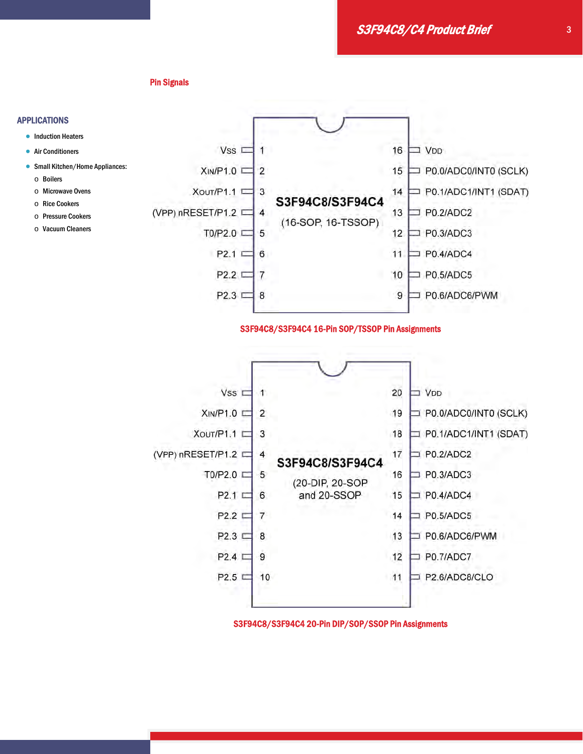S3F94C8/C4 Product Brief

Pin Signals

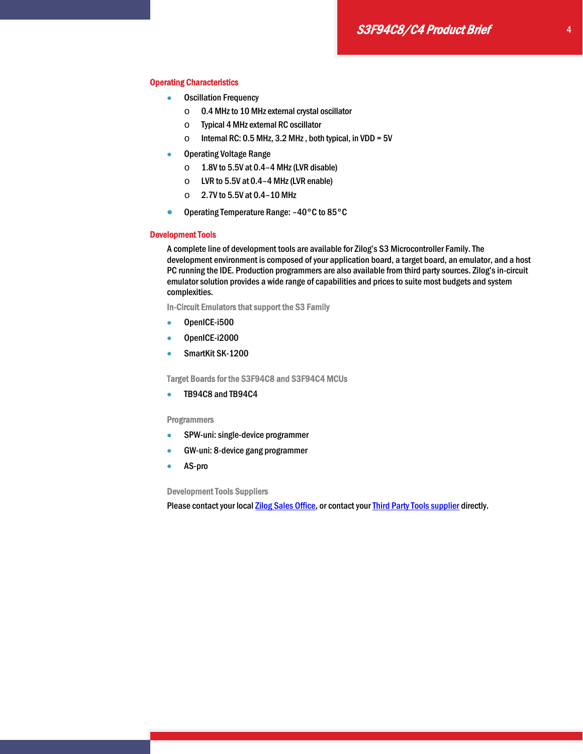#### Operating Characteristics

- Oscillation Frequency
	- o 0.4 MHz to 10 MHz external crystal oscillator
	- o Typical 4 MHz external RC oscillator
	- $\circ$  Internal RC: 0.5 MHz, 3.2 MHz, both typical, in VDD = 5V
- **Operating Voltage Range** 
	- $\circ$  1.8V to 5.5V at 0.4-4 MHz (LVR disable)
	- $\circ$  LVR to 5.5V at 0.4-4 MHz (LVR enable)
	- $\circ$  2.7V to 5.5V at 0.4-10 MHz
- Operating Temperature Range: -40°C to 85°C

#### Development Tools

A complete line of development tools are available for Zilog's S3 Microcontroller Family. The development environment is composed of your application board, a target board, an emulator, and a host PC running the IDE. Production programmers are also available from third party sources. Zilog's in-circuit emulator solution provides a wide range of capabilities and prices to suite most budgets and system complexities.

In-Circuit Emulators that support the S3 Family

- OpenICE-i500
- OpenICE-i2000
- SmartKit SK-1200

Target Boards for the S3F94C8 and S3F94C4 MCUs

• TB94C8 and TB94C4

#### **Programmers**

- **•** SPW-uni: single-device programmer
- GW-uni: 8-device gang programmer
- AS-pro

Development Tools Suppliers

Please contact your local **Zilog Sales Office**, or contact your **Third Party Tools supplier** directly.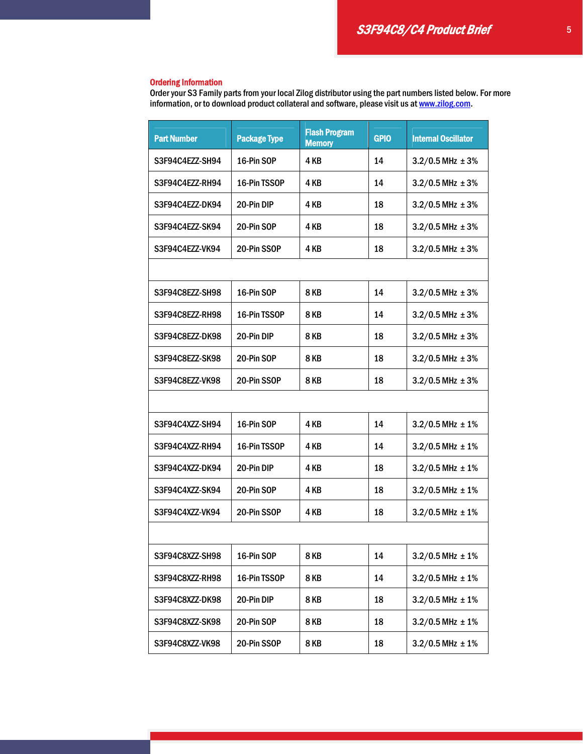### Ordering Information

Order your S3 Family parts from your local Zilog distributor using the part numbers listed below. For more information, or to download product collateral and software, please visit us at www.zilog.com.

| <b>Part Number</b> | <b>Package Type</b> | <b>Flash Program</b><br><b>Memory</b> | <b>GPIO</b> | <b>Internal Oscillator</b> |  |  |  |  |  |
|--------------------|---------------------|---------------------------------------|-------------|----------------------------|--|--|--|--|--|
| S3F94C4EZZ-SH94    | 16-Pin SOP          | 4 KB                                  | 14          | $3.2/0.5$ MHz $\pm 3\%$    |  |  |  |  |  |
| S3F94C4EZZ-RH94    | 16-Pin TSSOP        | 4 KB                                  | 14          | $3.2/0.5$ MHz $\pm 3%$     |  |  |  |  |  |
| S3F94C4EZZ-DK94    | 20-Pin DIP          | 4 KB                                  | 18          | $3.2/0.5$ MHz $\pm 3%$     |  |  |  |  |  |
| S3F94C4EZZ-SK94    | 20-Pin SOP          | 4 KB                                  | 18          | $3.2/0.5$ MHz $\pm 3%$     |  |  |  |  |  |
| S3F94C4EZZ-VK94    | 20-Pin SSOP         | 4 KB                                  | 18          | $3.2/0.5$ MHz $\pm 3%$     |  |  |  |  |  |
|                    |                     |                                       |             |                            |  |  |  |  |  |
| S3F94C8EZZ-SH98    | 16-Pin SOP          | <b>8KB</b>                            | 14          | $3.2/0.5$ MHz $\pm 3%$     |  |  |  |  |  |
| S3F94C8EZZ-RH98    | 16-Pin TSSOP        | <b>8 KB</b>                           | 14          | $3.2/0.5$ MHz $\pm 3%$     |  |  |  |  |  |
| S3F94C8EZZ-DK98    | 20-Pin DIP          | 8KB                                   | 18          | $3.2/0.5$ MHz $\pm 3%$     |  |  |  |  |  |
| S3F94C8EZZ-SK98    | 20-Pin SOP          | <b>8KB</b>                            | 18          | $3.2/0.5$ MHz $\pm 3%$     |  |  |  |  |  |
| S3F94C8EZZ-VK98    | 20-Pin SSOP         | <b>8KB</b>                            | 18          | $3.2/0.5$ MHz $\pm 3%$     |  |  |  |  |  |
|                    |                     |                                       |             |                            |  |  |  |  |  |
| S3F94C4XZZ-SH94    | 16-Pin SOP          | 4 KB                                  | 14          | $3.2/0.5$ MHz $\pm 1\%$    |  |  |  |  |  |
| S3F94C4XZZ-RH94    | 16-Pin TSSOP        | 4 KB                                  | 14          | $3.2/0.5$ MHz $\pm 1\%$    |  |  |  |  |  |
| S3F94C4XZZ-DK94    | 20-Pin DIP          | 4 KB                                  | 18          | $3.2/0.5$ MHz $\pm 1\%$    |  |  |  |  |  |
| S3F94C4XZZ-SK94    | 20-Pin SOP          | 4 KB                                  | 18          | $3.2/0.5$ MHz $\pm 1\%$    |  |  |  |  |  |
| S3F94C4XZZ-VK94    | 20-Pin SSOP         | 4 KB                                  | 18          | $3.2/0.5$ MHz $\pm 1\%$    |  |  |  |  |  |
|                    |                     |                                       |             |                            |  |  |  |  |  |
| S3F94C8XZZ-SH98    | 16-Pin SOP          | 8KB                                   | 14          | $3.2/0.5$ MHz $\pm 1\%$    |  |  |  |  |  |
| S3F94C8XZZ-RH98    | 16-Pin TSSOP        | 8 KB                                  | 14          | $3.2/0.5$ MHz $\pm 1\%$    |  |  |  |  |  |
| S3F94C8XZZ-DK98    | 20-Pin DIP          | 8 KB                                  | 18          | $3.2/0.5$ MHz $\pm 1\%$    |  |  |  |  |  |
| S3F94C8XZZ-SK98    | 20-Pin SOP          | 8 KB                                  | 18          | $3.2/0.5$ MHz $\pm 1\%$    |  |  |  |  |  |
| S3F94C8XZZ-VK98    | 20-Pin SSOP         | 8KB                                   | 18          | $3.2/0.5$ MHz $\pm 1\%$    |  |  |  |  |  |